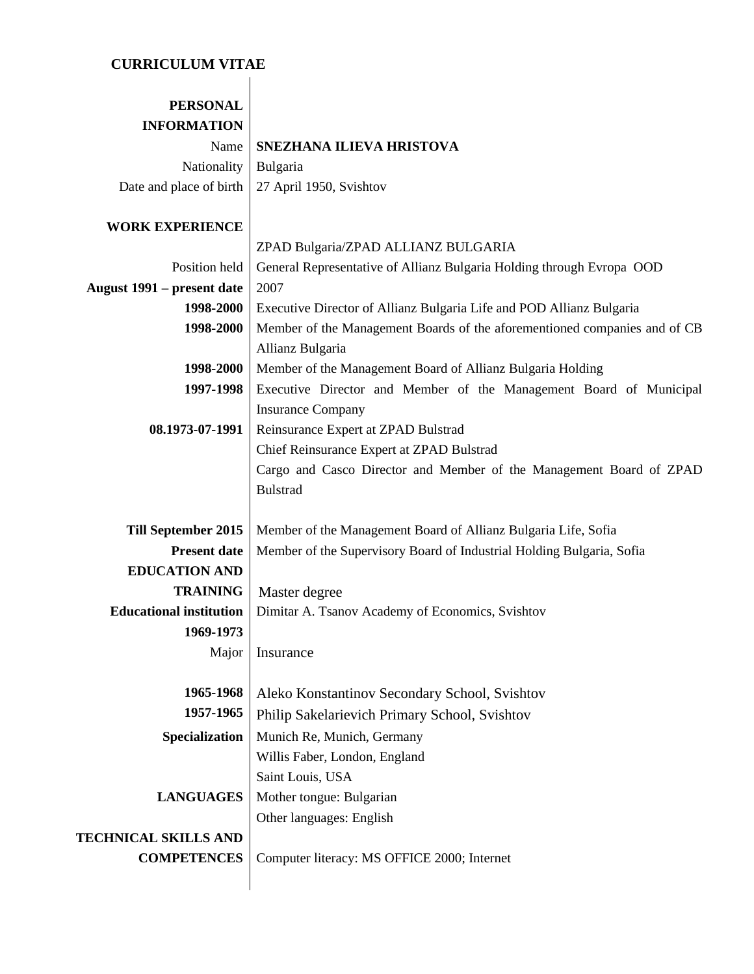# **CURRICULUM VITAE**

| SNEZHANA ILIEVA HRISTOVA                                                  |
|---------------------------------------------------------------------------|
| Bulgaria                                                                  |
| 27 April 1950, Svishtov                                                   |
|                                                                           |
| ZPAD Bulgaria/ZPAD ALLIANZ BULGARIA                                       |
| General Representative of Allianz Bulgaria Holding through Evropa OOD     |
| 2007                                                                      |
| Executive Director of Allianz Bulgaria Life and POD Allianz Bulgaria      |
| Member of the Management Boards of the aforementioned companies and of CB |
| Allianz Bulgaria                                                          |
| Member of the Management Board of Allianz Bulgaria Holding                |
| Executive Director and Member of the Management Board of Municipal        |
| <b>Insurance Company</b>                                                  |
| Reinsurance Expert at ZPAD Bulstrad                                       |
| Chief Reinsurance Expert at ZPAD Bulstrad                                 |
| Cargo and Casco Director and Member of the Management Board of ZPAD       |
| <b>Bulstrad</b>                                                           |
|                                                                           |
| Member of the Management Board of Allianz Bulgaria Life, Sofia            |
| Member of the Supervisory Board of Industrial Holding Bulgaria, Sofia     |
|                                                                           |
| Master degree                                                             |
| Dimitar A. Tsanov Academy of Economics, Svishtov                          |
|                                                                           |
| Insurance                                                                 |
|                                                                           |
| Aleko Konstantinov Secondary School, Svishtov                             |
| Philip Sakelarievich Primary School, Svishtov                             |
| Munich Re, Munich, Germany                                                |
| Willis Faber, London, England                                             |
| Saint Louis, USA                                                          |
| Mother tongue: Bulgarian                                                  |
| Other languages: English                                                  |
|                                                                           |
| Computer literacy: MS OFFICE 2000; Internet                               |
|                                                                           |
|                                                                           |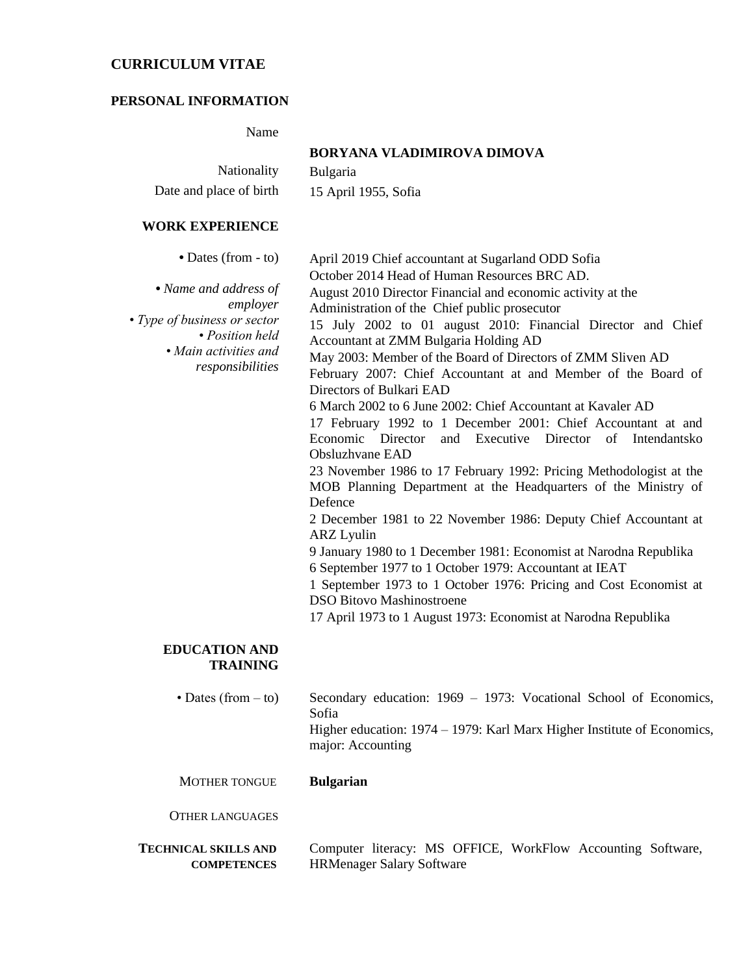# **CURRICULUM VITAE**

#### **PERSONAL INFORMATION**

Name

|                                                                                                                                                                  | BORYANA VLADIMIROVA DIMOVA                                                                                                                                                                                                                                                                                                                                                                                                                                                              |
|------------------------------------------------------------------------------------------------------------------------------------------------------------------|-----------------------------------------------------------------------------------------------------------------------------------------------------------------------------------------------------------------------------------------------------------------------------------------------------------------------------------------------------------------------------------------------------------------------------------------------------------------------------------------|
| <b>Nationality</b>                                                                                                                                               | <b>Bulgaria</b>                                                                                                                                                                                                                                                                                                                                                                                                                                                                         |
| Date and place of birth                                                                                                                                          | 15 April 1955, Sofia                                                                                                                                                                                                                                                                                                                                                                                                                                                                    |
| WORK EXPERIENCE                                                                                                                                                  |                                                                                                                                                                                                                                                                                                                                                                                                                                                                                         |
| $\bullet$ Dates (from - to)<br>• Name and address of<br>employer<br>• Type of business or sector<br>• Position held<br>• Main activities and<br>responsibilities | April 2019 Chief accountant at Sugarland ODD Sofia<br>October 2014 Head of Human Resources BRC AD.<br>August 2010 Director Financial and economic activity at the<br>Administration of the Chief public prosecutor<br>15 July 2002 to 01 august 2010: Financial Director and Chief<br>Accountant at ZMM Bulgaria Holding AD<br>May 2003: Member of the Board of Directors of ZMM Sliven AD<br>February 2007: Chief Accountant at and Member of the Board of<br>Directors of Bulkari EAD |
|                                                                                                                                                                  | 6 March 2002 to 6 June 2002: Chief Accountant at Kavaler AD<br>17 February 1992 to 1 December 2001: Chief Accountant at and<br>and Executive Director<br>Economic Director<br>Intendantsko<br>of                                                                                                                                                                                                                                                                                        |
|                                                                                                                                                                  | Obsluzhvane EAD                                                                                                                                                                                                                                                                                                                                                                                                                                                                         |

23 November 1986 to 17 February 1992: Pricing Methodologist at the MOB Planning Department at the Headquarters of the Ministry of Defence

2 December 1981 to 22 November 1986: Deputy Chief Accountant at ARZ Lyulin

9 January 1980 to 1 December 1981: Economist at Narodna Republika 6 September 1977 to 1 October 1979: Accountant at IEAT

1 September 1973 to 1 October 1976: Pricing and Cost Economist at DSO Bitovo Mashinostroene

17 April 1973 to 1 August 1973: Economist at Narodna Republika

#### **EDUCATION AND TRAINING**

| • Dates (from $-$ to) | Secondary education: $1969 - 1973$ : Vocational School of Economics,    |
|-----------------------|-------------------------------------------------------------------------|
|                       | Sofia                                                                   |
|                       | Higher education: 1974 – 1979: Karl Marx Higher Institute of Economics, |
|                       | major: Accounting                                                       |

MOTHER TONGUE **Bulgarian**

OTHER LANGUAGES

**TECHNICAL SKILLS AND COMPETENCES** Computer literacy: MS OFFICE, WorkFlow Accounting Software, HRMenager Salary Software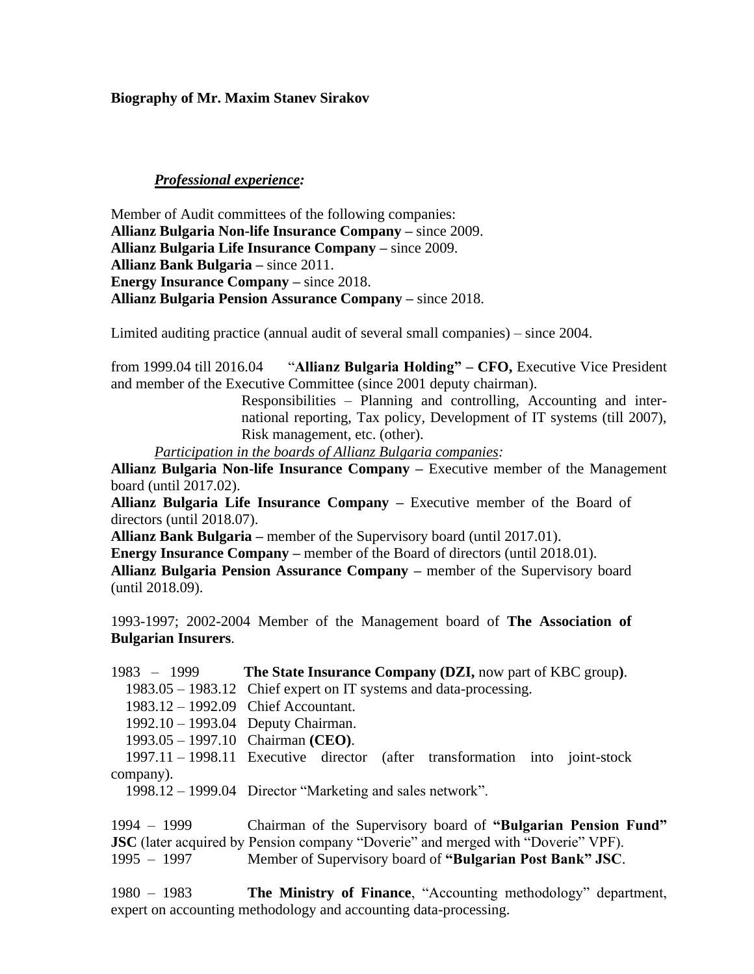**Biography of Mr. Maxim Stanev Sirakov**

### *Professional experience:*

Member of Audit committees of the following companies: **Allianz Bulgaria Non-life Insurance Company –** since 2009. **Allianz Bulgaria Life Insurance Company –** since 2009. **Allianz Bank Bulgaria –** since 2011. **Energy Insurance Company –** since 2018. **Allianz Bulgaria Pension Assurance Company –** since 2018.

Limited auditing practice (annual audit of several small companies) – since 2004.

from 1999.04 till 2016.04 "**Allianz Bulgaria Holding" – CFO,** Executive Vice President and member of the Executive Committee (since 2001 deputy chairman).

> Responsibilities – Planning and controlling, Accounting and international reporting, Tax policy, Development of IT systems (till 2007), Risk management, etc. (other).

*Participation in the boards of Allianz Bulgaria companies:* 

**Allianz Bulgaria Non-life Insurance Company –** Executive member of the Management board (until 2017.02).

**Allianz Bulgaria Life Insurance Company –** Executive member of the Board of directors (until 2018.07).

**Allianz Bank Bulgaria –** member of the Supervisory board (until 2017.01).

**Energy Insurance Company –** member of the Board of directors (until 2018.01).

**Allianz Bulgaria Pension Assurance Company –** member of the Supervisory board (until 2018.09).

1993-1997; 2002-2004 Member of the Management board of **The Association of Bulgarian Insurers**.

1983 – 1999 **The State Insurance Company (DZI,** now part of KBC group**)**. 1983.05 – 1983.12 Chief expert on IT systems and data-processing. 1983.12 – 1992.09 Chief Accountant. 1992.10 – 1993.04 Deputy Chairman. 1993.05 – 1997.10 Chairman **(CEO)**. 1997.11 – 1998.11 Executive director (after transformation into joint-stock company). 1998.12 – 1999.04 Director "Marketing and sales network".

1994 – 1999 Chairman of the Supervisory board of **"Bulgarian Pension Fund" JSC** (later acquired by Pension company "Doverie" and merged with "Doverie" VPF). 1995 – 1997 Member of Supervisory board of **"Bulgarian Post Bank" JSC**.

1980 – 1983 **The Ministry of Finance**, "Accounting methodology" department, expert on accounting methodology and accounting data-processing.